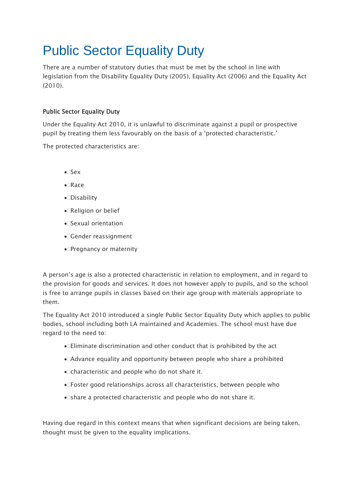# Public Sector Equality Duty

There are a number of statutory duties that must be met by the school in line with legislation from the Disability Equality Duty (2005), Equality Act (2006) and the Equality Act (2010).

## Public Sector Equality Duty

Under the Equality Act 2010, it is unlawful to discriminate against a pupil or prospective pupil by treating them less favourably on the basis of a 'protected characteristic.'

The protected characteristics are:

- $\bullet$  Sex
- $\bullet$  Race
- ●□Disability
- ●□Religion or belief
- Sexual orientation
- •<sup>□</sup>Gender reassignment
- Pregnancy or maternity

A person's age is also a protected characteristic in relation to employment, and in regard to the provision for goods and services. It does not however apply to pupils, and so the school is free to arrange pupils in classes based on their age group with materials appropriate to them.

The Equality Act 2010 introduced a single Public Sector Equality Duty which applies to public bodies, school including both LA maintained and Academies. The school must have due regard to the need to:

- Eliminate discrimination and other conduct that is prohibited by the act
- Advance equality and opportunity between people who share a prohibited
- •□ characteristic and people who do not share it.
- Foster good relationships across all characteristics, between people who
- share a protected characteristic and people who do not share it.

Having due regard in this context means that when significant decisions are being taken, thought must be given to the equality implications.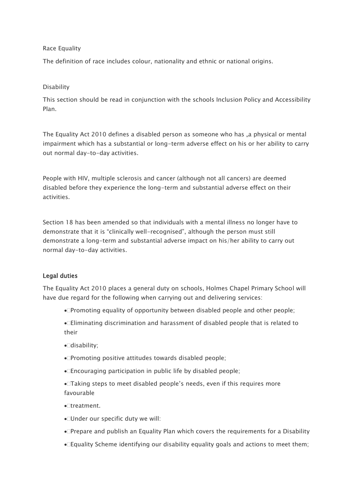#### Race Equality

The definition of race includes colour, nationality and ethnic or national origins.

#### Disability

This section should be read in conjunction with the schools Inclusion Policy and Accessibility Plan.

The Equality Act 2010 defines a disabled person as someone who has "a physical or mental impairment which has a substantial or long-term adverse effect on his or her ability to carry out normal day-to-day activities.

People with HIV, multiple sclerosis and cancer (although not all cancers) are deemed disabled before they experience the long-term and substantial adverse effect on their activities.

Section 18 has been amended so that individuals with a mental illness no longer have to demonstrate that it is "clinically well-recognised", although the person must still demonstrate a long-term and substantial adverse impact on his/her ability to carry out normal day-to-day activities.

#### Legal duties

The Equality Act 2010 places a general duty on schools, Holmes Chapel Primary School will have due regard for the following when carrying out and delivering services:

• Promoting equality of opportunity between disabled people and other people;

Eliminating discrimination and harassment of disabled people that is related to their

- •**Odisability**;
- Promoting positive attitudes towards disabled people;
- Encouraging participation in public life by disabled people;
- Taking steps to meet disabled people's needs, even if this requires more favourable
- Itreatment.
- Under our specific duty we will:
- Prepare and publish an Equality Plan which covers the requirements for a Disability
- Equality Scheme identifying our disability equality goals and actions to meet them;